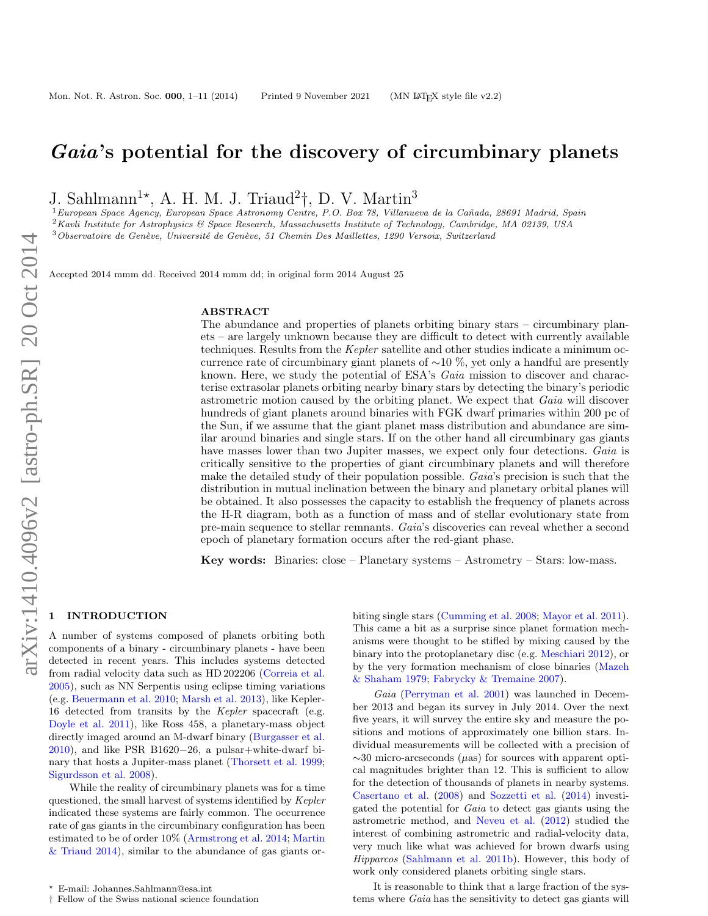# Gaia's potential for the discovery of circumbinary planets

J. Sahlmann<sup>1\*</sup>, A. H. M. J. Triaud<sup>2</sup><sup>†</sup>, D. V. Martin<sup>3</sup>

<sup>1</sup> European Space Agency, European Space Astronomy Centre, P.O. Box 78, Villanueva de la Cañada, 28691 Madrid, Spain <sup>2</sup>Kavli Institute for Astrophysics & Space Research, Massachusetts Institute of Technology, Cambridge, MA 02139, USA  $3$ Observatoire de Genève, Université de Genève, 51 Chemin Des Maillettes, 1290 Versoix, Switzerland

Accepted 2014 mmm dd. Received 2014 mmm dd; in original form 2014 August 25

# ABSTRACT

The abundance and properties of planets orbiting binary stars – circumbinary planets – are largely unknown because they are difficult to detect with currently available techniques. Results from the Kepler satellite and other studies indicate a minimum occurrence rate of circumbinary giant planets of  $\sim$ 10 %, yet only a handful are presently known. Here, we study the potential of ESA's Gaia mission to discover and characterise extrasolar planets orbiting nearby binary stars by detecting the binary's periodic astrometric motion caused by the orbiting planet. We expect that Gaia will discover hundreds of giant planets around binaries with FGK dwarf primaries within 200 pc of the Sun, if we assume that the giant planet mass distribution and abundance are similar around binaries and single stars. If on the other hand all circumbinary gas giants have masses lower than two Jupiter masses, we expect only four detections. Gaia is critically sensitive to the properties of giant circumbinary planets and will therefore make the detailed study of their population possible. Gaia's precision is such that the distribution in mutual inclination between the binary and planetary orbital planes will be obtained. It also possesses the capacity to establish the frequency of planets across the H-R diagram, both as a function of mass and of stellar evolutionary state from pre-main sequence to stellar remnants. Gaia's discoveries can reveal whether a second epoch of planetary formation occurs after the red-giant phase.

Key words: Binaries: close – Planetary systems – Astrometry – Stars: low-mass.

#### <span id="page-0-0"></span>**INTRODUCTION**

A number of systems composed of planets orbiting both components of a binary - circumbinary planets - have been detected in recent years. This includes systems detected from radial velocity data such as HD 202206 [\(Correia et al.](#page-9-0) [2005\)](#page-9-0), such as NN Serpentis using eclipse timing variations (e.g. [Beuermann et al.](#page-9-1) [2010;](#page-9-1) [Marsh et al.](#page-9-2) [2013\)](#page-9-2), like Kepler-16 detected from transits by the Kepler spacecraft (e.g. [Doyle et al.](#page-9-3) [2011\)](#page-9-3), like Ross 458, a planetary-mass object directly imaged around an M-dwarf binary [\(Burgasser et al.](#page-9-4) [2010\)](#page-9-4), and like PSR B1620−26, a pulsar+white-dwarf binary that hosts a Jupiter-mass planet [\(Thorsett et al.](#page-10-0) [1999;](#page-10-0) [Sigurdsson et al.](#page-9-5) [2008\)](#page-9-5).

While the reality of circumbinary planets was for a time questioned, the small harvest of systems identified by Kepler indicated these systems are fairly common. The occurrence rate of gas giants in the circumbinary configuration has been estimated to be of order 10% [\(Armstrong et al.](#page-9-6) [2014;](#page-9-6) [Martin](#page-9-7) [& Triaud](#page-9-7) [2014\)](#page-9-7), similar to the abundance of gas giants orbiting single stars [\(Cumming et al.](#page-9-8) [2008;](#page-9-8) [Mayor et al.](#page-9-9) [2011\)](#page-9-9). This came a bit as a surprise since planet formation mechanisms were thought to be stifled by mixing caused by the binary into the protoplanetary disc (e.g. [Meschiari](#page-9-10) [2012\)](#page-9-10), or by the very formation mechanism of close binaries [\(Mazeh](#page-9-11) [& Shaham](#page-9-11) [1979;](#page-9-11) [Fabrycky & Tremaine](#page-9-12) [2007\)](#page-9-12).

Gaia [\(Perryman et al.](#page-9-13) [2001\)](#page-9-13) was launched in December 2013 and began its survey in July 2014. Over the next five years, it will survey the entire sky and measure the positions and motions of approximately one billion stars. Individual measurements will be collected with a precision of  $\sim$ 30 micro-arcseconds ( $\mu$ as) for sources with apparent optical magnitudes brighter than 12. This is sufficient to allow for the detection of thousands of planets in nearby systems. [Casertano et al.](#page-9-14) [\(2008\)](#page-9-14) and [Sozzetti et al.](#page-9-15) [\(2014\)](#page-9-15) investigated the potential for Gaia to detect gas giants using the astrometric method, and [Neveu et al.](#page-9-16) [\(2012\)](#page-9-16) studied the interest of combining astrometric and radial-velocity data, very much like what was achieved for brown dwarfs using Hipparcos [\(Sahlmann et al.](#page-9-17) [2011b\)](#page-9-17). However, this body of work only considered planets orbiting single stars.

It is reasonable to think that a large fraction of the systems where Gaia has the sensitivity to detect gas giants will

<sup>?</sup> E-mail: Johannes.Sahlmann@esa.int

<sup>†</sup> Fellow of the Swiss national science foundation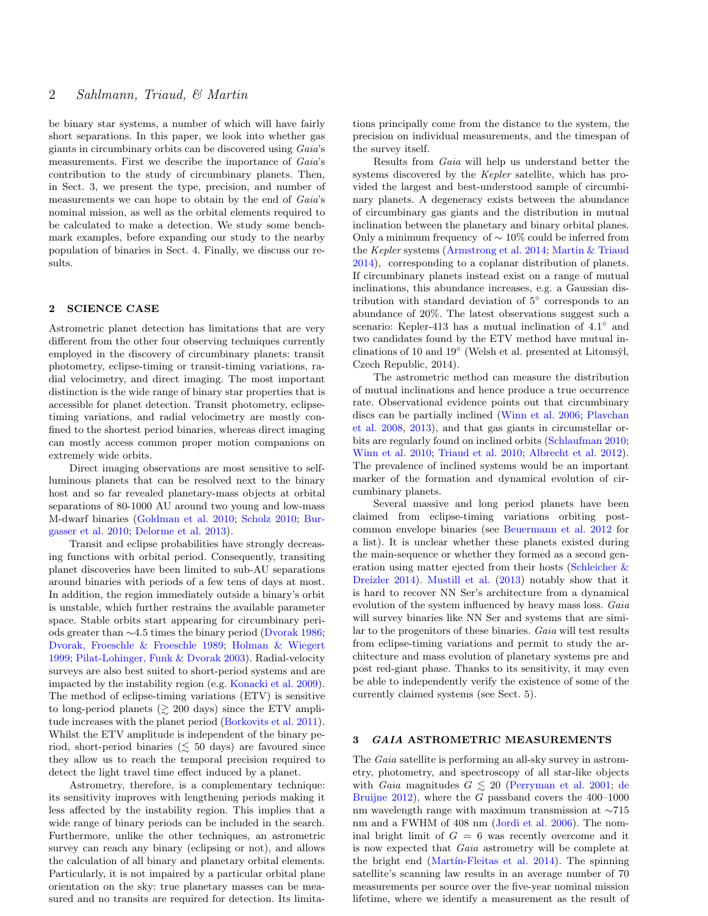be binary star systems, a number of which will have fairly short separations. In this paper, we look into whether gas giants in circumbinary orbits can be discovered using Gaia's measurements. First we describe the importance of Gaia's contribution to the study of circumbinary planets. Then, in Sect. [3,](#page-1-0) we present the type, precision, and number of measurements we can hope to obtain by the end of Gaia's nominal mission, as well as the orbital elements required to be calculated to make a detection. We study some benchmark examples, before expanding our study to the nearby population of binaries in Sect. [4.](#page-4-0) Finally, we discuss our results.

# 2 SCIENCE CASE

Astrometric planet detection has limitations that are very different from the other four observing techniques currently employed in the discovery of circumbinary planets: transit photometry, eclipse-timing or transit-timing variations, radial velocimetry, and direct imaging. The most important distinction is the wide range of binary star properties that is accessible for planet detection. Transit photometry, eclipsetiming variations, and radial velocimetry are mostly confined to the shortest period binaries, whereas direct imaging can mostly access common proper motion companions on extremely wide orbits.

Direct imaging observations are most sensitive to selfluminous planets that can be resolved next to the binary host and so far revealed planetary-mass objects at orbital separations of 80-1000 AU around two young and low-mass M-dwarf binaries [\(Goldman et al.](#page-9-18) [2010;](#page-9-18) [Scholz](#page-9-19) [2010;](#page-9-19) [Bur](#page-9-4)[gasser et al.](#page-9-4) [2010;](#page-9-4) [Delorme et al.](#page-9-20) [2013\)](#page-9-20).

Transit and eclipse probabilities have strongly decreasing functions with orbital period. Consequently, transiting planet discoveries have been limited to sub-AU separations around binaries with periods of a few tens of days at most. In addition, the region immediately outside a binary's orbit is unstable, which further restrains the available parameter space. Stable orbits start appearing for circumbinary periods greater than ∼4.5 times the binary period [\(Dvorak](#page-9-21) [1986;](#page-9-21) [Dvorak, Froeschle & Froeschle](#page-9-22) [1989;](#page-9-22) [Holman & Wiegert](#page-9-23) [1999;](#page-9-23) [Pilat-Lohinger, Funk & Dvorak](#page-9-24) [2003\)](#page-9-24). Radial-velocity surveys are also best suited to short-period systems and are impacted by the instability region (e.g. [Konacki et al.](#page-9-25) [2009\)](#page-9-25). The method of eclipse-timing variations (ETV) is sensitive to long-period planets ( $\gtrsim$  200 days) since the ETV amplitude increases with the planet period [\(Borkovits et al.](#page-9-26) [2011\)](#page-9-26). Whilst the ETV amplitude is independent of the binary period, short-period binaries ( $\lesssim$  50 days) are favoured since they allow us to reach the temporal precision required to detect the light travel time effect induced by a planet.

Astrometry, therefore, is a complementary technique: its sensitivity improves with lengthening periods making it less affected by the instability region. This implies that a wide range of binary periods can be included in the search. Furthermore, unlike the other techniques, an astrometric survey can reach any binary (eclipsing or not), and allows the calculation of all binary and planetary orbital elements. Particularly, it is not impaired by a particular orbital plane orientation on the sky: true planetary masses can be measured and no transits are required for detection. Its limitations principally come from the distance to the system, the precision on individual measurements, and the timespan of the survey itself.

Results from Gaia will help us understand better the systems discovered by the Kepler satellite, which has provided the largest and best-understood sample of circumbinary planets. A degeneracy exists between the abundance of circumbinary gas giants and the distribution in mutual inclination between the planetary and binary orbital planes. Only a minimum frequency of ∼ 10% could be inferred from the Kepler systems [\(Armstrong et al.](#page-9-6) [2014;](#page-9-6) [Martin & Triaud](#page-9-7) [2014\)](#page-9-7), corresponding to a coplanar distribution of planets. If circumbinary planets instead exist on a range of mutual inclinations, this abundance increases, e.g. a Gaussian distribution with standard deviation of 5◦ corresponds to an abundance of 20%. The latest observations suggest such a scenario: Kepler-413 has a mutual inclination of  $4.1^{\circ}$  and two candidates found by the ETV method have mutual inclinations of 10 and  $19°$  (Welsh et al. presented at Litomsy̆l, Czech Republic, 2014).

The astrometric method can measure the distribution of mutual inclinations and hence produce a true occurrence rate. Observational evidence points out that circumbinary discs can be partially inclined [\(Winn et al.](#page-10-1) [2006;](#page-10-1) [Plavchan](#page-9-27) [et al.](#page-9-27) [2008,](#page-9-27) [2013\)](#page-9-28), and that gas giants in circumstellar orbits are regularly found on inclined orbits [\(Schlaufman](#page-9-29) [2010;](#page-9-29) [Winn et al.](#page-10-2) [2010;](#page-10-2) [Triaud et al.](#page-10-3) [2010;](#page-10-3) [Albrecht et al.](#page-9-30) [2012\)](#page-9-30). The prevalence of inclined systems would be an important marker of the formation and dynamical evolution of circumbinary planets.

Several massive and long period planets have been claimed from eclipse-timing variations orbiting postcommon envelope binaries (see [Beuermann et al.](#page-9-31) [2012](#page-9-31) for a list). It is unclear whether these planets existed during the main-sequence or whether they formed as a second generation using matter ejected from their hosts [\(Schleicher &](#page-9-32) [Dreizler](#page-9-32) [2014\)](#page-9-32). [Mustill et al.](#page-9-33) [\(2013\)](#page-9-33) notably show that it is hard to recover NN Ser's architecture from a dynamical evolution of the system influenced by heavy mass loss. Gaia will survey binaries like NN Ser and systems that are similar to the progenitors of these binaries. Gaia will test results from eclipse-timing variations and permit to study the architecture and mass evolution of planetary systems pre and post red-giant phase. Thanks to its sensitivity, it may even be able to independently verify the existence of some of the currently claimed systems (see Sect. [5\)](#page-7-0).

## <span id="page-1-0"></span>3 GAIA ASTROMETRIC MEASUREMENTS

The *Gaia* satellite is performing an all-sky survey in astrometry, photometry, and spectroscopy of all star-like objects with Gaia magnitu[de](#page-9-34)s  $G \lesssim 20$  [\(Perryman et al.](#page-9-13) [2001;](#page-9-13) de [Bruijne](#page-9-34) [2012\)](#page-9-34), where the G passband covers the 400–1000 nm wavelength range with maximum transmission at ∼715 nm and a FWHM of 408 nm [\(Jordi et al.](#page-9-35) [2006\)](#page-9-35). The nominal bright limit of  $G = 6$  was recently overcome and it is now expected that Gaia astrometry will be complete at the bright end (Martín-Fleitas et al.  $2014$ ). The spinning satellite's scanning law results in an average number of 70 measurements per source over the five-year nominal mission lifetime, where we identify a measurement as the result of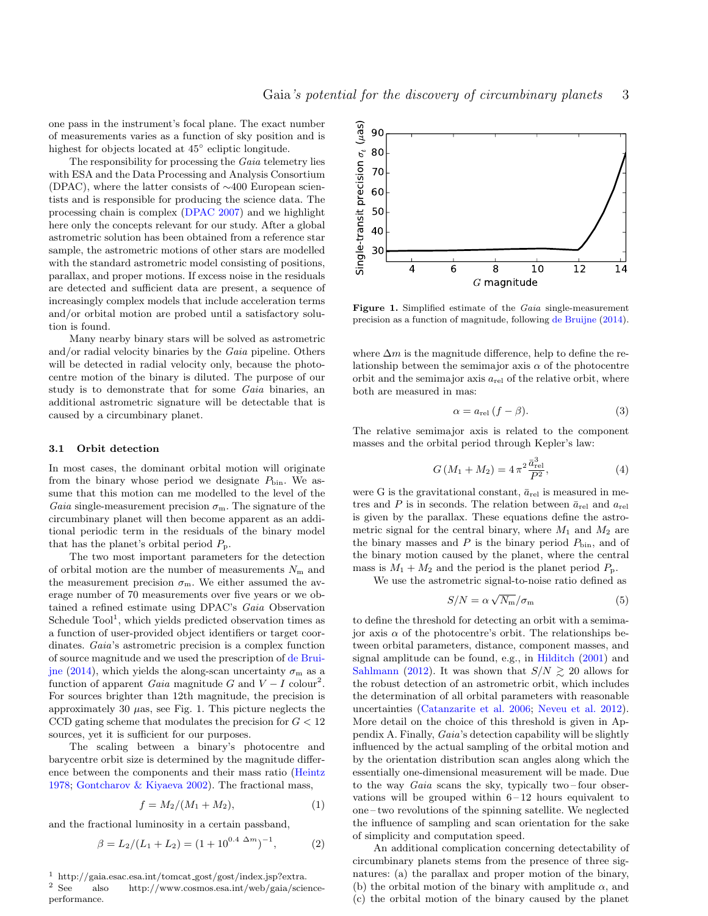one pass in the instrument's focal plane. The exact number of measurements varies as a function of sky position and is highest for objects located at 45◦ ecliptic longitude.

The responsibility for processing the Gaia telemetry lies with ESA and the Data Processing and Analysis Consortium (DPAC), where the latter consists of ∼400 European scientists and is responsible for producing the science data. The processing chain is complex [\(DPAC](#page-9-37) [2007\)](#page-9-37) and we highlight here only the concepts relevant for our study. After a global astrometric solution has been obtained from a reference star sample, the astrometric motions of other stars are modelled with the standard astrometric model consisting of positions, parallax, and proper motions. If excess noise in the residuals are detected and sufficient data are present, a sequence of increasingly complex models that include acceleration terms and/or orbital motion are probed until a satisfactory solution is found.

Many nearby binary stars will be solved as astrometric and/or radial velocity binaries by the Gaia pipeline. Others will be detected in radial velocity only, because the photocentre motion of the binary is diluted. The purpose of our study is to demonstrate that for some Gaia binaries, an additional astrometric signature will be detectable that is caused by a circumbinary planet.

#### <span id="page-2-3"></span>3.1 Orbit detection

In most cases, the dominant orbital motion will originate from the binary whose period we designate  $P_{\text{bin}}$ . We assume that this motion can me modelled to the level of the Gaia single-measurement precision  $\sigma_{\rm m}$ . The signature of the circumbinary planet will then become apparent as an additional periodic term in the residuals of the binary model that has the planet's orbital period  $P_{\rm p}$ .

The two most important parameters for the detection of orbital motion are the number of measurements  $N_{\rm m}$  and the measurement precision  $\sigma_{\rm m}$ . We either assumed the average number of 70 measurements over five years or we obtained a refined estimate using DPAC's Gaia Observation Schedule  $\text{Tool}^1$  $\text{Tool}^1$ , which yields predicted observation times as a function of user-provided object identifiers or target coordinates. Gaia's astrometric precision is a complex function of source magnitude and we used the prescription of [de Brui](#page-9-38)[jne](#page-9-38) [\(2014\)](#page-9-38), which yields the along-scan uncertainty  $\sigma_{\rm m}$  as a function of apparent *Gaia* magnitude G and  $V - I$  colour<sup>[2](#page-2-1)</sup>. For sources brighter than 12th magnitude, the precision is approximately 30  $\mu$ as, see Fig. [1.](#page-2-2) This picture neglects the CCD gating scheme that modulates the precision for  $G < 12$ sources, yet it is sufficient for our purposes.

The scaling between a binary's photocentre and barycentre orbit size is determined by the magnitude difference between the components and their mass ratio [\(Heintz](#page-9-39) [1978;](#page-9-39) [Gontcharov & Kiyaeva](#page-9-40) [2002\)](#page-9-40). The fractional mass,

$$
f = M_2/(M_1 + M_2), \tag{1}
$$

and the fractional luminosity in a certain passband,

$$
\beta = L_2/(L_1 + L_2) = (1 + 10^{0.4 \Delta m})^{-1}, \tag{2}
$$

<span id="page-2-0"></span>

<span id="page-2-1"></span>also http://www.cosmos.esa.int/web/gaia/scienceperformance.



<span id="page-2-2"></span>Figure 1. Simplified estimate of the Gaia single-measurement precision as a function of magnitude, following [de Bruijne](#page-9-38) [\(2014\)](#page-9-38).

where  $\Delta m$  is the magnitude difference, help to define the relationship between the semimajor axis  $\alpha$  of the photocentre orbit and the semimajor axis  $a_{rel}$  of the relative orbit, where both are measured in mas:

$$
\alpha = a_{\text{rel}} \left( f - \beta \right). \tag{3}
$$

The relative semimajor axis is related to the component masses and the orbital period through Kepler's law:

$$
G(M_1 + M_2) = 4\pi^2 \frac{\bar{a}_{\text{rel}}^3}{P^2},\tag{4}
$$

were G is the gravitational constant,  $\bar{a}_{rel}$  is measured in metres and P is in seconds. The relation between  $\bar{a}_{rel}$  and  $a_{rel}$ is given by the parallax. These equations define the astrometric signal for the central binary, where  $M_1$  and  $M_2$  are the binary masses and  $P$  is the binary period  $P_{\text{bin}}$ , and of the binary motion caused by the planet, where the central mass is  $M_1 + M_2$  and the period is the planet period  $P_p$ .

We use the astrometric signal-to-noise ratio defined as

$$
S/N = \alpha \sqrt{N_{\rm m}}/\sigma_{\rm m} \tag{5}
$$

to define the threshold for detecting an orbit with a semimajor axis  $\alpha$  of the photocentre's orbit. The relationships between orbital parameters, distance, component masses, and signal amplitude can be found, e.g., in [Hilditch](#page-9-41) [\(2001\)](#page-9-41) and [Sahlmann](#page-9-42) [\(2012\)](#page-9-42). It was shown that  $S/N \ge 20$  allows for the robust detection of an astrometric orbit, which includes the determination of all orbital parameters with reasonable uncertainties [\(Catanzarite et al.](#page-9-43) [2006;](#page-9-43) [Neveu et al.](#page-9-16) [2012\)](#page-9-16). More detail on the choice of this threshold is given in Appendix [A.](#page-10-4) Finally, Gaia's detection capability will be slightly influenced by the actual sampling of the orbital motion and by the orientation distribution scan angles along which the essentially one-dimensional measurement will be made. Due to the way *Gaia* scans the sky, typically two-four observations will be grouped within  $6 - 12$  hours equivalent to one – two revolutions of the spinning satellite. We neglected the influence of sampling and scan orientation for the sake of simplicity and computation speed.

An additional complication concerning detectability of circumbinary planets stems from the presence of three signatures: (a) the parallax and proper motion of the binary, (b) the orbital motion of the binary with amplitude  $\alpha$ , and (c) the orbital motion of the binary caused by the planet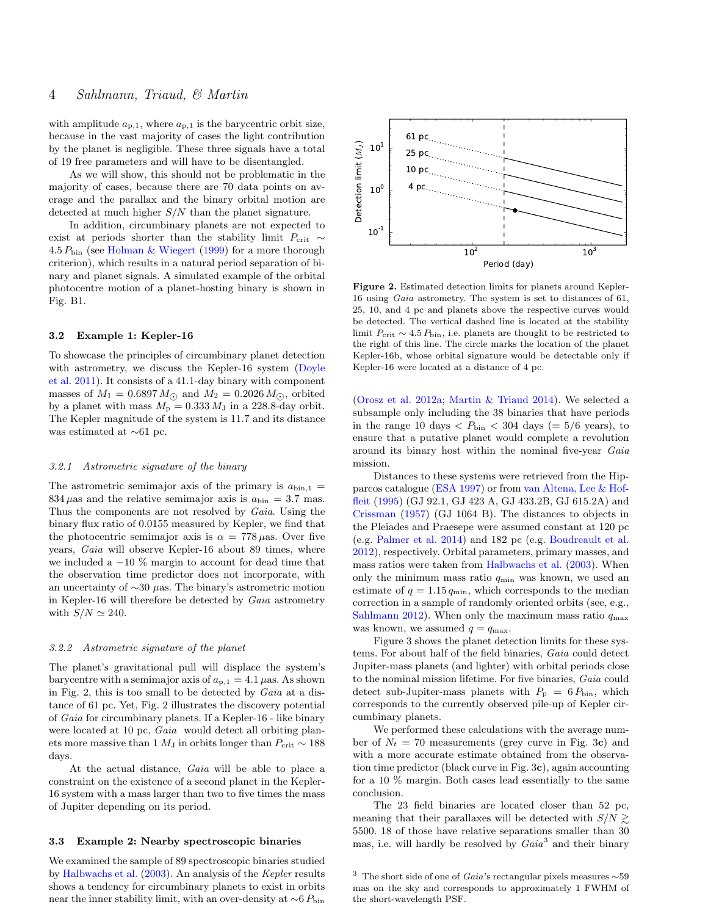with amplitude  $a_{p,1}$ , where  $a_{p,1}$  is the barycentric orbit size, because in the vast majority of cases the light contribution by the planet is negligible. These three signals have a total of 19 free parameters and will have to be disentangled.

As we will show, this should not be problematic in the majority of cases, because there are 70 data points on average and the parallax and the binary orbital motion are detected at much higher  $S/N$  than the planet signature.

In addition, circumbinary planets are not expected to exist at periods shorter than the stability limit  $P_{\rm crit} \sim$ 4.5  $P_{\text{bin}}$  (see [Holman & Wiegert](#page-9-23) [\(1999\)](#page-9-23) for a more thorough criterion), which results in a natural period separation of binary and planet signals. A simulated example of the orbital photocentre motion of a planet-hosting binary is shown in Fig. [B1.](#page-11-1)

## 3.2 Example 1: Kepler-16

To showcase the principles of circumbinary planet detection with astrometry, we discuss the Kepler-16 system [\(Doyle](#page-9-3) [et al.](#page-9-3) [2011\)](#page-9-3). It consists of a 41.1-day binary with component masses of  $M_1 = 0.6897 M_{\odot}$  and  $M_2 = 0.2026 M_{\odot}$ , orbited by a planet with mass  $M_{\rm p}=0.333\,M_{\rm J}$  in a 228.8-day orbit. The Kepler magnitude of the system is 11.7 and its distance was estimated at ∼61 pc.

#### 3.2.1 Astrometric signature of the binary

The astrometric semimajor axis of the primary is  $a_{\text{bin},1}$  = 834  $\mu$ as and the relative semimajor axis is  $a_{\text{bin}} = 3.7$  mas. Thus the components are not resolved by Gaia. Using the binary flux ratio of 0.0155 measured by Kepler, we find that the photocentric semimajor axis is  $\alpha = 778 \,\mu$ as. Over five years, Gaia will observe Kepler-16 about 89 times, where we included a  $-10\%$  margin to account for dead time that the observation time predictor does not incorporate, with an uncertainty of ∼30 µas. The binary's astrometric motion in Kepler-16 will therefore be detected by Gaia astrometry with  $S/N \simeq 240$ .

## 3.2.2 Astrometric signature of the planet

The planet's gravitational pull will displace the system's barycentre with a semimajor axis of  $a_{p,1} = 4.1 \,\mu$ as. As shown in Fig. [2,](#page-3-0) this is too small to be detected by Gaia at a distance of 61 pc. Yet, Fig. [2](#page-3-0) illustrates the discovery potential of Gaia for circumbinary planets. If a Kepler-16 - like binary were located at 10 pc, Gaia would detect all orbiting planets more massive than 1  $M_J$  in orbits longer than  $P_{\rm crit} \sim 188$ days.

At the actual distance, Gaia will be able to place a constraint on the existence of a second planet in the Kepler-16 system with a mass larger than two to five times the mass of Jupiter depending on its period.

#### 3.3 Example 2: Nearby spectroscopic binaries

We examined the sample of 89 spectroscopic binaries studied by [Halbwachs et al.](#page-9-44) [\(2003\)](#page-9-44). An analysis of the Kepler results shows a tendency for circumbinary planets to exist in orbits near the inner stability limit, with an over-density at  $\sim$ 6  $P_{\text{bin}}$ 



<span id="page-3-0"></span>Figure 2. Estimated detection limits for planets around Kepler-16 using Gaia astrometry. The system is set to distances of 61, 25, 10, and 4 pc and planets above the respective curves would be detected. The vertical dashed line is located at the stability limit  $P_{\rm crit} \sim 4.5 P_{\rm bin}$ , i.e. planets are thought to be restricted to the right of this line. The circle marks the location of the planet Kepler-16b, whose orbital signature would be detectable only if Kepler-16 were located at a distance of 4 pc.

[\(Orosz et al.](#page-9-45) [2012a;](#page-9-45) [Martin & Triaud](#page-9-7) [2014\)](#page-9-7). We selected a subsample only including the 38 binaries that have periods in the range 10 days  $\langle P_{\text{bin}} \rangle$  < 304 days (= 5/6 years), to ensure that a putative planet would complete a revolution around its binary host within the nominal five-year Gaia mission.

Distances to these systems were retrieved from the Hipparcos catalogue [\(ESA](#page-9-46) [1997\)](#page-9-46) or from [van Altena, Lee & Hof](#page-10-5)[fleit](#page-10-5) [\(1995\)](#page-10-5) (GJ 92.1, GJ 423 A, GJ 433.2B, GJ 615.2A) and [Crissman](#page-9-47) [\(1957\)](#page-9-47) (GJ 1064 B). The distances to objects in the Pleiades and Praesepe were assumed constant at 120 pc (e.g. [Palmer et al.](#page-9-48) [2014\)](#page-9-48) and 182 pc (e.g. [Boudreault et al.](#page-9-49) [2012\)](#page-9-49), respectively. Orbital parameters, primary masses, and mass ratios were taken from [Halbwachs et al.](#page-9-44) [\(2003\)](#page-9-44). When only the minimum mass ratio  $q_{\min}$  was known, we used an estimate of  $q = 1.15 q<sub>min</sub>$ , which corresponds to the median correction in a sample of randomly oriented orbits (see, e.g., [Sahlmann](#page-9-42) [2012\)](#page-9-42). When only the maximum mass ratio  $q_{\text{max}}$ was known, we assumed  $q = q_{\text{max}}$ .

Figure [3](#page-4-1) shows the planet detection limits for these systems. For about half of the field binaries, Gaia could detect Jupiter-mass planets (and lighter) with orbital periods close to the nominal mission lifetime. For five binaries, Gaia could detect sub-Jupiter-mass planets with  $P_{\rm p} = 6 P_{\rm bin}$ , which corresponds to the currently observed pile-up of Kepler circumbinary planets.

We performed these calculations with the average number of  $N_t = 70$  measurements (grey curve in Fig. [3](#page-4-1)c) and with a more accurate estimate obtained from the observation time predictor (black curve in Fig. [3](#page-4-1)c), again accounting for a 10 % margin. Both cases lead essentially to the same conclusion.

The 23 field binaries are located closer than 52 pc, meaning that their parallaxes will be detected with  $S/N \gtrsim$ 5500. 18 of those have relative separations smaller than 30 mas, i.e. will hardly be resolved by  $Gaia<sup>3</sup>$  $Gaia<sup>3</sup>$  $Gaia<sup>3</sup>$  and their binary

<span id="page-3-1"></span><sup>&</sup>lt;sup>3</sup> The short side of one of *Gaia*'s rectangular pixels measures  $\sim$ 59 mas on the sky and corresponds to approximately 1 FWHM of the short-wavelength PSF.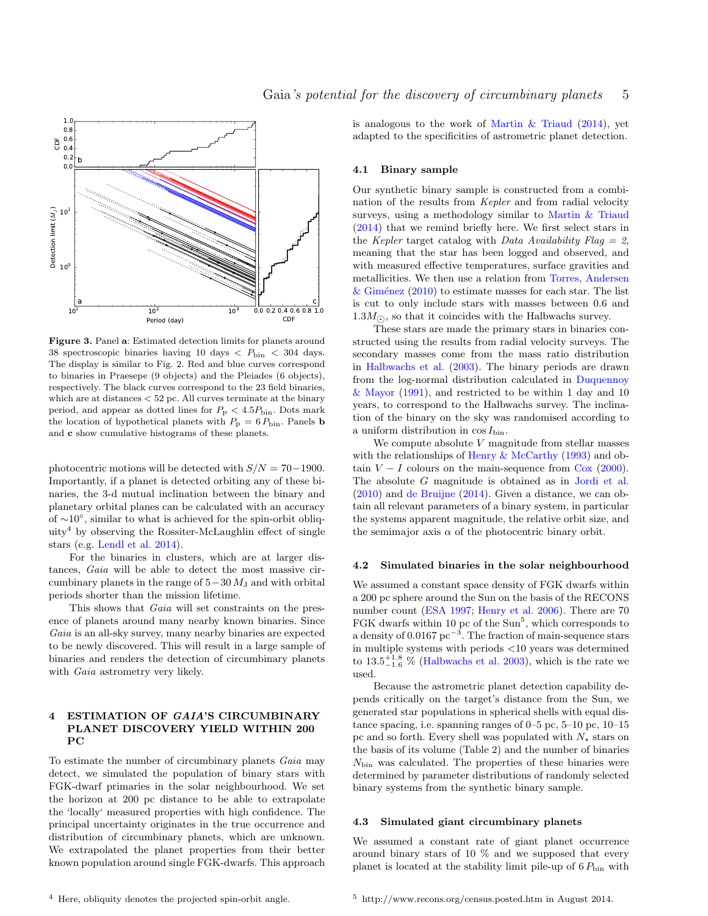



<span id="page-4-1"></span>Figure 3. Panel a: Estimated detection limits for planets around 38 spectroscopic binaries having 10 days  $\langle P_{\text{bin}} \rangle$  < 304 days. The display is similar to Fig. [2.](#page-3-0) Red and blue curves correspond to binaries in Praesepe (9 objects) and the Pleiades (6 objects), respectively. The black curves correspond to the 23 field binaries, which are at distances < 52 pc. All curves terminate at the binary period, and appear as dotted lines for  $P_{\rm p} < 4.5 P_{\rm bin}.$  Dots mark the location of hypothetical planets with  $P_{\rm p} = 6 P_{\rm bin}$ . Panels **b** and c show cumulative histograms of these planets.

photocentric motions will be detected with  $S/N = 70-1900$ . Importantly, if a planet is detected orbiting any of these binaries, the 3-d mutual inclination between the binary and planetary orbital planes can be calculated with an accuracy of ∼10◦ , similar to what is achieved for the spin-orbit obliq-uity<sup>[4](#page-4-2)</sup> by observing the Rossiter-McLaughlin effect of single stars (e.g. [Lendl et al.](#page-9-50) [2014\)](#page-9-50).

For the binaries in clusters, which are at larger distances, Gaia will be able to detect the most massive circumbinary planets in the range of  $5-30 M_J$  and with orbital periods shorter than the mission lifetime.

This shows that *Gaia* will set constraints on the presence of planets around many nearby known binaries. Since Gaia is an all-sky survey, many nearby binaries are expected to be newly discovered. This will result in a large sample of binaries and renders the detection of circumbinary planets with *Gaia* astrometry very likely.

## <span id="page-4-0"></span>4 ESTIMATION OF GAIA'S CIRCUMBINARY PLANET DISCOVERY YIELD WITHIN 200 PC

<span id="page-4-2"></span>To estimate the number of circumbinary planets Gaia may detect, we simulated the population of binary stars with FGK-dwarf primaries in the solar neighbourhood. We set the horizon at 200 pc distance to be able to extrapolate the 'locally' measured properties with high confidence. The principal uncertainty originates in the true occurrence and distribution of circumbinary planets, which are unknown. We extrapolated the planet properties from their better known population around single FGK-dwarfs. This approach

is analogous to the work of Martin  $\&$  Triaud [\(2014\)](#page-9-7), yet adapted to the specificities of astrometric planet detection.

## 4.1 Binary sample

Our synthetic binary sample is constructed from a combination of the results from Kepler and from radial velocity surveys, using a methodology similar to [Martin & Triaud](#page-9-7) [\(2014\)](#page-9-7) that we remind briefly here. We first select stars in the Kepler target catalog with Data Availability Flag = 2, meaning that the star has been logged and observed, and with measured effective temperatures, surface gravities and metallicities. We then use a relation from [Torres, Andersen](#page-10-6) & Giménez  $(2010)$  to estimate masses for each star. The list is cut to only include stars with masses between 0.6 and  $1.3M_{\odot}$ , so that it coincides with the Halbwachs survey.

These stars are made the primary stars in binaries constructed using the results from radial velocity surveys. The secondary masses come from the mass ratio distribution in [Halbwachs et al.](#page-9-44) [\(2003\)](#page-9-44). The binary periods are drawn from the log-normal distribution calculated in [Duquennoy](#page-9-51) [& Mayor](#page-9-51) [\(1991\)](#page-9-51), and restricted to be within 1 day and 10 years, to correspond to the Halbwachs survey. The inclination of the binary on the sky was randomised according to a uniform distribution in  $\cos I_{\text{bin}}$ .

We compute absolute  $V$  magnitude from stellar masses with the relationships of [Henry & McCarthy](#page-9-52) [\(1993\)](#page-9-52) and obtain  $V - I$  colours on the main-sequence from [Cox](#page-9-53) [\(2000\)](#page-9-53). The absolute G magnitude is obtained as in [Jordi et al.](#page-9-54) [\(2010\)](#page-9-54) and [de Bruijne](#page-9-38) [\(2014\)](#page-9-38). Given a distance, we can obtain all relevant parameters of a binary system, in particular the systems apparent magnitude, the relative orbit size, and the semimajor axis  $\alpha$  of the photocentric binary orbit.

#### 4.2 Simulated binaries in the solar neighbourhood

We assumed a constant space density of FGK dwarfs within a 200 pc sphere around the Sun on the basis of the RECONS number count [\(ESA](#page-9-46) [1997;](#page-9-46) [Henry et al.](#page-9-55) [2006\)](#page-9-55). There are 70 FGK dwarfs within 10 pc of the  $Sun<sup>5</sup>$  $Sun<sup>5</sup>$  $Sun<sup>5</sup>$ , which corresponds to a density of  $0.0167 \,\mathrm{pc}^{-3}$ . The fraction of main-sequence stars in multiple systems with periods <10 years was determined to  $13.5^{+1.8}_{-1.6}$  % [\(Halbwachs et al.](#page-9-44) [2003\)](#page-9-44), which is the rate we used.

Because the astrometric planet detection capability depends critically on the target's distance from the Sun, we generated star populations in spherical shells with equal distance spacing, i.e. spanning ranges of 0–5 pc, 5–10 pc, 10–15 pc and so forth. Every shell was populated with  $N_{\star}$  stars on the basis of its volume (Table [2\)](#page-5-0) and the number of binaries  $N_{\text{bin}}$  was calculated. The properties of these binaries were determined by parameter distributions of randomly selected binary systems from the synthetic binary sample.

## 4.3 Simulated giant circumbinary planets

We assumed a constant rate of giant planet occurrence around binary stars of 10 % and we supposed that every planet is located at the stability limit pile-up of  $6 P_{\text{bin}}$  with

<span id="page-4-3"></span><sup>5</sup> http://www.recons.org/census.posted.htm in August 2014.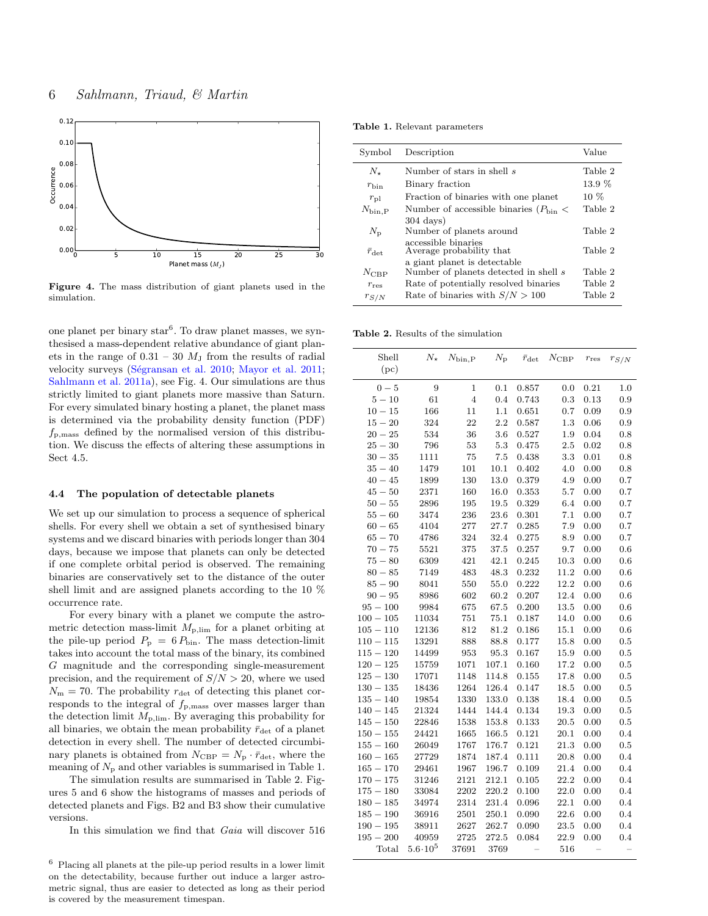

<span id="page-5-2"></span>Figure 4. The mass distribution of giant planets used in the simulation.

one planet per binary star<sup>[6](#page-5-1)</sup>. To draw planet masses, we synthesised a mass-dependent relative abundance of giant planets in the range of  $0.31 - 30$   $M_J$  from the results of radial velocity surveys (Ségransan et al. [2010;](#page-9-56) [Mayor et al.](#page-9-9) [2011;](#page-9-9) [Sahlmann et al.](#page-9-57) [2011a\)](#page-9-57), see Fig. [4.](#page-5-2) Our simulations are thus strictly limited to giant planets more massive than Saturn. For every simulated binary hosting a planet, the planet mass is determined via the probability density function (PDF)  $f_{\rm p,mass}$  defined by the normalised version of this distribution. We discuss the effects of altering these assumptions in Sect [4.5.](#page-6-0)

## 4.4 The population of detectable planets

We set up our simulation to process a sequence of spherical shells. For every shell we obtain a set of synthesised binary systems and we discard binaries with periods longer than 304 days, because we impose that planets can only be detected if one complete orbital period is observed. The remaining binaries are conservatively set to the distance of the outer shell limit and are assigned planets according to the 10 % occurrence rate.

For every binary with a planet we compute the astrometric detection mass-limit  $M_{\rm p,lim}$  for a planet orbiting at the pile-up period  $P_{\rm p} = 6 P_{\rm bin}$ . The mass detection-limit takes into account the total mass of the binary, its combined G magnitude and the corresponding single-measurement precision, and the requirement of  $S/N > 20$ , where we used  $N_{\rm m} = 70$ . The probability  $r_{\rm det}$  of detecting this planet corresponds to the integral of  $f_{\rm p,mass}$  over masses larger than the detection limit  $M_{\text{p,lim}}$ . By averaging this probability for all binaries, we obtain the mean probability  $\bar{r}_{\text{det}}$  of a planet detection in every shell. The number of detected circumbinary planets is obtained from  $N_{\text{CBP}} = N_{\text{p}} \cdot \bar{r}_{\text{det}}$ , where the meaning of  $N_{\rm p}$  and other variables is summarised in Table [1.](#page-5-3)

The simulation results are summarised in Table [2.](#page-5-0) Figures [5](#page-6-1) and [6](#page-6-2) show the histograms of masses and periods of detected planets and Figs. [B2](#page-11-2) and [B3](#page-11-3) show their cumulative versions.

In this simulation we find that Gaia will discover 516

<span id="page-5-3"></span>Table 1. Relevant parameters

| Symbol                 | Description                                            | Value    |
|------------------------|--------------------------------------------------------|----------|
| $N_{\ast}$             | Number of stars in shell s                             | Table 2  |
| $r_{\rm bin}$          | Binary fraction                                        | $13.9\%$ |
| $r_{\rm pl}$           | Fraction of binaries with one planet                   | $10\%$   |
| $N_{\rm bin, P}$       | Number of accessible binaries ( $P_{\text{bin}}$ $\lt$ | Table 2  |
|                        | $304 \text{ days}$                                     |          |
| $N_{\rm p}$            | Number of planets around                               | Table 2  |
| $\bar{r}_{\text{det}}$ | accessible binaries<br>Average probability that        | Table 2  |
|                        | a giant planet is detectable                           |          |
| $N_{\rm CRP}$          | Number of planets detected in shell s                  | Table 2  |
| $r_{\rm res}$          | Rate of potentially resolved binaries                  | Table 2  |
| $r_{S/N}$              | Rate of binaries with $S/N > 100$                      | Table 2  |

<span id="page-5-0"></span>Table 2. Results of the simulation

| Shell<br>(pc) | $N_{\star}$      | $N_{\rm bin, P}$ | $N_{\rm p}$ | $\bar{r}_{\rm det}$ | $N_{\rm CBP}$ | $r_{\rm res}$ | $r_{S/N}$ |
|---------------|------------------|------------------|-------------|---------------------|---------------|---------------|-----------|
|               |                  |                  |             |                     |               |               |           |
| $0-5$         | 9                | $\mathbf{1}$     | 0.1         | 0.857               | 0.0           | 0.21          | 1.0       |
| $5 - 10$      | 61               | $\overline{4}$   | 0.4         | 0.743               | 0.3           | 0.13          | 0.9       |
| $10 - 15$     | 166              | 11               | 1.1         | 0.651               | 0.7           | 0.09          | 0.9       |
| $15 - 20$     | 324              | 22               | 2.2         | 0.587               | 1.3           | 0.06          | 0.9       |
| $20 - 25$     | 534              | 36               | 3.6         | 0.527               | 1.9           | 0.04          | 0.8       |
| $25 - 30$     | 796              | 53               | 5.3         | 0.475               | 2.5           | 0.02          | 0.8       |
| $30 - 35$     | 1111             | 75               | $7.5\,$     | 0.438               | 3.3           | 0.01          | 0.8       |
| $35 - 40$     | 1479             | 101              | 10.1        | 0.402               | 4.0           | 0.00          | 0.8       |
| $40 - 45$     | 1899             | 130              | 13.0        | 0.379               | 4.9           | 0.00          | 0.7       |
| $45 - 50$     | 2371             | 160              | 16.0        | 0.353               | 5.7           | 0.00          | 0.7       |
| $50 - 55$     | 2896             | 195              | 19.5        | 0.329               | 6.4           | 0.00          | 0.7       |
| $55 - 60$     | 3474             | 236              | 23.6        | 0.301               | 7.1           | 0.00          | 0.7       |
| $60 - 65$     | 4104             | 277              | 27.7        | 0.285               | 7.9           | 0.00          | 0.7       |
| $65 - 70$     | 4786             | 324              | 32.4        | 0.275               | 8.9           | 0.00          | 0.7       |
| $70 - 75$     | 5521             | 375              | 37.5        | 0.257               | 9.7           | 0.00          | 0.6       |
| $75 - 80$     | 6309             | 421              | 42.1        | 0.245               | 10.3          | 0.00          | 0.6       |
| $80 - 85$     | 7149             | 483              | 48.3        | 0.232               | 11.2          | 0.00          | 0.6       |
| $85 - 90$     | 8041             | 550              | 55.0        | 0.222               | 12.2          | 0.00          | 0.6       |
| $90 - 95$     | 8986             | 602              | 60.2        | 0.207               | 12.4          | 0.00          | 0.6       |
| $95 - 100$    | 9984             | 675              | 67.5        | 0.200               | 13.5          | 0.00          | 0.6       |
| $100 - 105$   | 11034            | 751              | 75.1        | 0.187               | 14.0          | 0.00          | 0.6       |
| $105 - 110$   | 12136            | 812              | 81.2        | 0.186               | 15.1          | 0.00          | 0.6       |
| $110 - 115$   | 13291            | 888              | 88.8        | 0.177               | 15.8          | 0.00          | 0.5       |
| $115 - 120$   | 14499            | 953              | 95.3        | 0.167               | 15.9          | 0.00          | 0.5       |
| $120 - 125$   | 15759            | 1071             | 107.1       | 0.160               | 17.2          | 0.00          | 0.5       |
| $125 - 130$   | 17071            | 1148             | 114.8       | 0.155               | 17.8          | 0.00          | 0.5       |
| $130 - 135$   | 18436            | 1264             | 126.4       | 0.147               | 18.5          | 0.00          | 0.5       |
| $135 - 140$   | 19854            | 1330             | 133.0       | 0.138               | 18.4          | 0.00          | 0.5       |
| $140 - 145$   | 21324            | 1444             | 144.4       | 0.134               | 19.3          | 0.00          | 0.5       |
| $145 - 150$   | 22846            | 1538             | 153.8       | 0.133               | 20.5          | 0.00          | 0.5       |
| $150 - 155$   | 24421            | 1665             | 166.5       | 0.121               | 20.1          | 0.00          | 0.4       |
| $155 - 160$   | 26049            | 1767             | 176.7       | 0.121               | 21.3          | 0.00          | 0.5       |
| $160 - 165$   | 27729            | 1874             | 187.4       | 0.111               | 20.8          | 0.00          | 0.4       |
| $165 - 170$   | 29461            | 1967             | 196.7       | 0.109               | 21.4          | 0.00          | 0.4       |
| $170 - 175$   | 31246            | 2121             | 212.1       | 0.105               | 22.2          | 0.00          | 0.4       |
| $175 - 180$   | 33084            | 2202             | 220.2       | 0.100               | 22.0          | 0.00          | 0.4       |
| $180 - 185$   | 34974            | 2314             | 231.4       | 0.096               | 22.1          | 0.00          | 0.4       |
| $185 - 190$   | 36916            | 2501             | 250.1       | 0.090               | 22.6          | 0.00          | 0.4       |
| $190 - 195$   | 38911            | 2627             | 262.7       | 0.090               | 23.5          | 0.00          | $0.4\,$   |
| $195 - 200$   | 40959            | 2725             | 272.5       | 0.084               | 22.9          | 0.00          | 0.4       |
| Total         | $5.6 \cdot 10^5$ | 37691            | 3769        |                     | 516           |               |           |
|               |                  |                  |             |                     |               |               |           |

<span id="page-5-1"></span> $^6\,$  Placing all planets at the pile-up period results in a lower limit on the detectability, because further out induce a larger astrometric signal, thus are easier to detected as long as their period is covered by the measurement timespan.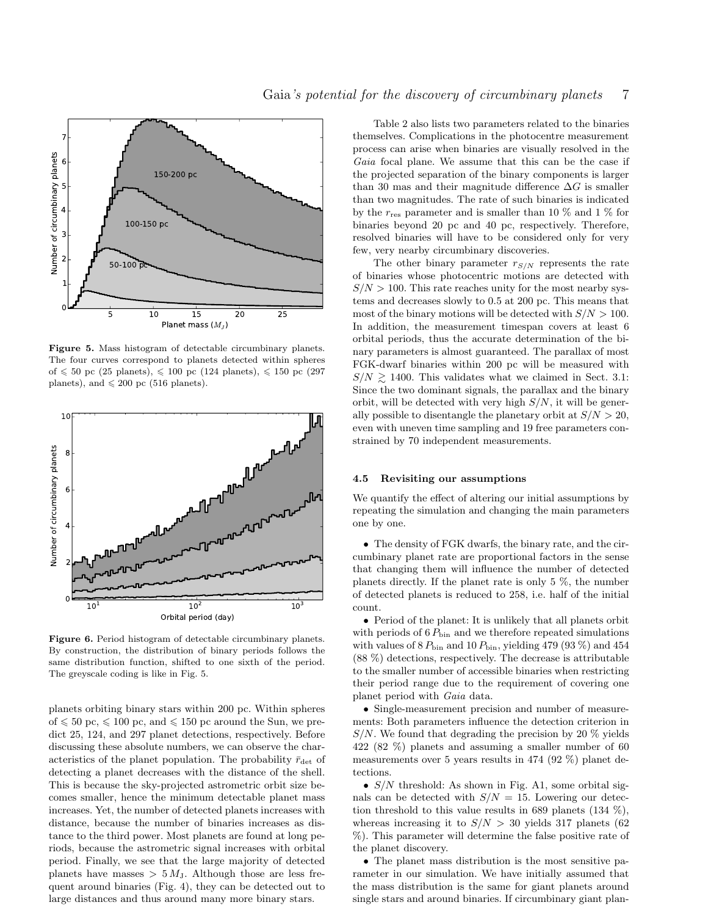

<span id="page-6-1"></span>Figure 5. Mass histogram of detectable circumbinary planets. The four curves correspond to planets detected within spheres of  $\leq 50$  pc (25 planets),  $\leq 100$  pc (124 planets),  $\leq 150$  pc (297 planets), and  $\leq 200$  pc (516 planets).



<span id="page-6-2"></span>Figure 6. Period histogram of detectable circumbinary planets. By construction, the distribution of binary periods follows the same distribution function, shifted to one sixth of the period. The greyscale coding is like in Fig. [5.](#page-6-1)

planets orbiting binary stars within 200 pc. Within spheres of  $\leq 50$  pc,  $\leq 100$  pc, and  $\leq 150$  pc around the Sun, we predict 25, 124, and 297 planet detections, respectively. Before discussing these absolute numbers, we can observe the characteristics of the planet population. The probability  $\bar{r}_{\text{det}}$  of detecting a planet decreases with the distance of the shell. This is because the sky-projected astrometric orbit size becomes smaller, hence the minimum detectable planet mass increases. Yet, the number of detected planets increases with distance, because the number of binaries increases as distance to the third power. Most planets are found at long periods, because the astrometric signal increases with orbital period. Finally, we see that the large majority of detected planets have masses  $> 5 M_J$ . Although those are less frequent around binaries (Fig. [4\)](#page-5-2), they can be detected out to large distances and thus around many more binary stars.

Table [2](#page-5-0) also lists two parameters related to the binaries themselves. Complications in the photocentre measurement process can arise when binaries are visually resolved in the Gaia focal plane. We assume that this can be the case if the projected separation of the binary components is larger than 30 mas and their magnitude difference  $\Delta G$  is smaller than two magnitudes. The rate of such binaries is indicated by the  $r_{res}$  parameter and is smaller than 10 % and 1 % for binaries beyond 20 pc and 40 pc, respectively. Therefore, resolved binaries will have to be considered only for very few, very nearby circumbinary discoveries.

The other binary parameter  $r_{S/N}$  represents the rate of binaries whose photocentric motions are detected with  $S/N > 100$ . This rate reaches unity for the most nearby systems and decreases slowly to 0.5 at 200 pc. This means that most of the binary motions will be detected with  $S/N > 100$ . In addition, the measurement timespan covers at least 6 orbital periods, thus the accurate determination of the binary parameters is almost guaranteed. The parallax of most FGK-dwarf binaries within 200 pc will be measured with  $S/N \ge 1400$ . This validates what we claimed in Sect. [3.1:](#page-2-3) Since the two dominant signals, the parallax and the binary orbit, will be detected with very high  $S/N$ , it will be generally possible to disentangle the planetary orbit at  $S/N > 20$ , even with uneven time sampling and 19 free parameters constrained by 70 independent measurements.

#### <span id="page-6-0"></span>4.5 Revisiting our assumptions

We quantify the effect of altering our initial assumptions by repeating the simulation and changing the main parameters one by one.

• The density of FGK dwarfs, the binary rate, and the circumbinary planet rate are proportional factors in the sense that changing them will influence the number of detected planets directly. If the planet rate is only 5 %, the number of detected planets is reduced to 258, i.e. half of the initial count.

• Period of the planet: It is unlikely that all planets orbit with periods of  $6 P_{\text{bin}}$  and we therefore repeated simulations with values of  $8 P_{\text{bin}}$  and  $10 P_{\text{bin}}$ , yielding 479 (93 %) and 454 (88 %) detections, respectively. The decrease is attributable to the smaller number of accessible binaries when restricting their period range due to the requirement of covering one planet period with Gaia data.

• Single-measurement precision and number of measurements: Both parameters influence the detection criterion in  $S/N$ . We found that degrading the precision by 20 % yields 422 (82 %) planets and assuming a smaller number of 60 measurements over 5 years results in 474 (92 %) planet detections.

•  $S/N$  threshold: As shown in Fig. [A1,](#page-10-7) some orbital signals can be detected with  $S/N = 15$ . Lowering our detection threshold to this value results in 689 planets  $(134\%)$ , whereas increasing it to  $S/N > 30$  yields 317 planets (62) %). This parameter will determine the false positive rate of the planet discovery.

• The planet mass distribution is the most sensitive parameter in our simulation. We have initially assumed that the mass distribution is the same for giant planets around single stars and around binaries. If circumbinary giant plan-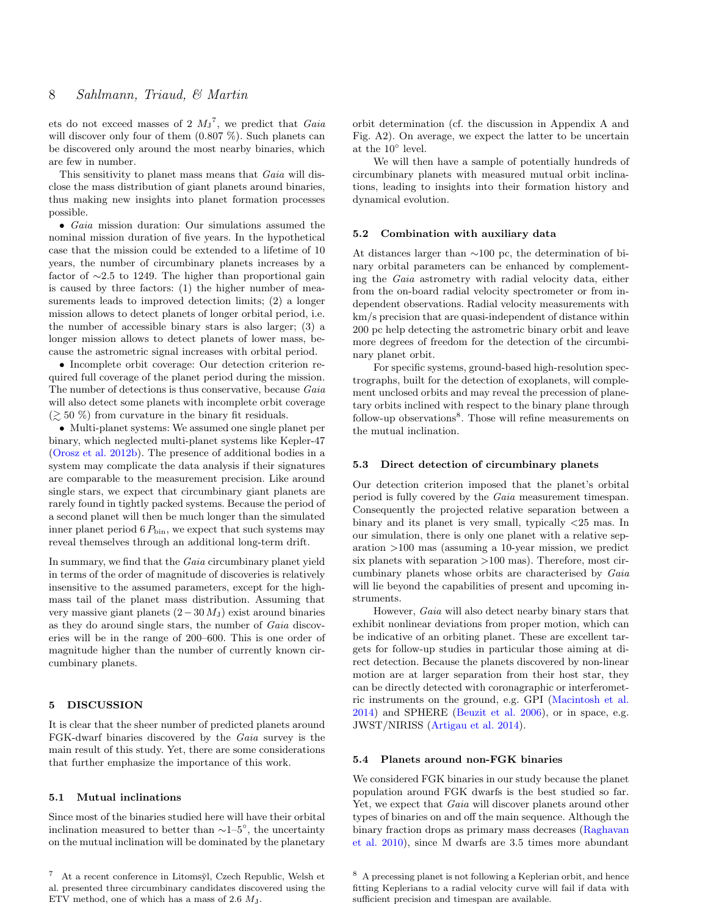ets do not exceed masses of 2  $M_J^7$  $M_J^7$ , we predict that Gaia will discover only four of them  $(0.807\%)$ . Such planets can be discovered only around the most nearby binaries, which are few in number.

This sensitivity to planet mass means that *Gaia* will disclose the mass distribution of giant planets around binaries, thus making new insights into planet formation processes possible.

• Gaia mission duration: Our simulations assumed the nominal mission duration of five years. In the hypothetical case that the mission could be extended to a lifetime of 10 years, the number of circumbinary planets increases by a factor of ∼2.5 to 1249. The higher than proportional gain is caused by three factors: (1) the higher number of measurements leads to improved detection limits; (2) a longer mission allows to detect planets of longer orbital period, i.e. the number of accessible binary stars is also larger; (3) a longer mission allows to detect planets of lower mass, because the astrometric signal increases with orbital period.

• Incomplete orbit coverage: Our detection criterion required full coverage of the planet period during the mission. The number of detections is thus conservative, because Gaia will also detect some planets with incomplete orbit coverage  $(\geq 50\%)$  from curvature in the binary fit residuals.

• Multi-planet systems: We assumed one single planet per binary, which neglected multi-planet systems like Kepler-47 [\(Orosz et al.](#page-9-58) [2012b\)](#page-9-58). The presence of additional bodies in a system may complicate the data analysis if their signatures are comparable to the measurement precision. Like around single stars, we expect that circumbinary giant planets are rarely found in tightly packed systems. Because the period of a second planet will then be much longer than the simulated inner planet period  $6 P_{\text{bin}}$ , we expect that such systems may reveal themselves through an additional long-term drift.

In summary, we find that the *Gaia* circumbinary planet yield in terms of the order of magnitude of discoveries is relatively insensitive to the assumed parameters, except for the highmass tail of the planet mass distribution. Assuming that very massive giant planets  $(2-30 M_{\rm J})$  exist around binaries as they do around single stars, the number of Gaia discoveries will be in the range of 200–600. This is one order of magnitude higher than the number of currently known circumbinary planets.

## <span id="page-7-0"></span>5 DISCUSSION

It is clear that the sheer number of predicted planets around FGK-dwarf binaries discovered by the Gaia survey is the main result of this study. Yet, there are some considerations that further emphasize the importance of this work.

## 5.1 Mutual inclinations

Since most of the binaries studied here will have their orbital inclination measured to better than  $\sim$ 1–5<sup>°</sup>, the uncertainty on the mutual inclination will be dominated by the planetary

orbit determination (cf. the discussion in Appendix [A](#page-10-4) and Fig. [A2\)](#page-10-8). On average, we expect the latter to be uncertain at the 10◦ level.

We will then have a sample of potentially hundreds of circumbinary planets with measured mutual orbit inclinations, leading to insights into their formation history and dynamical evolution.

## 5.2 Combination with auxiliary data

At distances larger than ∼100 pc, the determination of binary orbital parameters can be enhanced by complementing the Gaia astrometry with radial velocity data, either from the on-board radial velocity spectrometer or from independent observations. Radial velocity measurements with km/s precision that are quasi-independent of distance within 200 pc help detecting the astrometric binary orbit and leave more degrees of freedom for the detection of the circumbinary planet orbit.

For specific systems, ground-based high-resolution spectrographs, built for the detection of exoplanets, will complement unclosed orbits and may reveal the precession of planetary orbits inclined with respect to the binary plane through follow-up observations<sup>[8](#page-7-2)</sup>. Those will refine measurements on the mutual inclination.

## 5.3 Direct detection of circumbinary planets

Our detection criterion imposed that the planet's orbital period is fully covered by the Gaia measurement timespan. Consequently the projected relative separation between a binary and its planet is very small, typically <25 mas. In our simulation, there is only one planet with a relative separation >100 mas (assuming a 10-year mission, we predict six planets with separation >100 mas). Therefore, most circumbinary planets whose orbits are characterised by Gaia will lie beyond the capabilities of present and upcoming instruments.

However, Gaia will also detect nearby binary stars that exhibit nonlinear deviations from proper motion, which can be indicative of an orbiting planet. These are excellent targets for follow-up studies in particular those aiming at direct detection. Because the planets discovered by non-linear motion are at larger separation from their host star, they can be directly detected with coronagraphic or interferometric instruments on the ground, e.g. GPI [\(Macintosh et al.](#page-9-59) [2014\)](#page-9-59) and SPHERE [\(Beuzit et al.](#page-9-60) [2006\)](#page-9-60), or in space, e.g. JWST/NIRISS [\(Artigau et al.](#page-9-61) [2014\)](#page-9-61).

#### 5.4 Planets around non-FGK binaries

We considered FGK binaries in our study because the planet population around FGK dwarfs is the best studied so far. Yet, we expect that *Gaia* will discover planets around other types of binaries on and off the main sequence. Although the binary fraction drops as primary mass decreases [\(Raghavan](#page-9-62) [et al.](#page-9-62) [2010\)](#page-9-62), since M dwarfs are 3.5 times more abundant

<span id="page-7-1"></span><sup>&</sup>lt;sup>7</sup> At a recent conference in Litomsyl, Czech Republic, Welsh et al. presented three circumbinary candidates discovered using the ETV method, one of which has a mass of 2.6 MJ.

<span id="page-7-2"></span><sup>8</sup> A precessing planet is not following a Keplerian orbit, and hence fitting Keplerians to a radial velocity curve will fail if data with sufficient precision and timespan are available.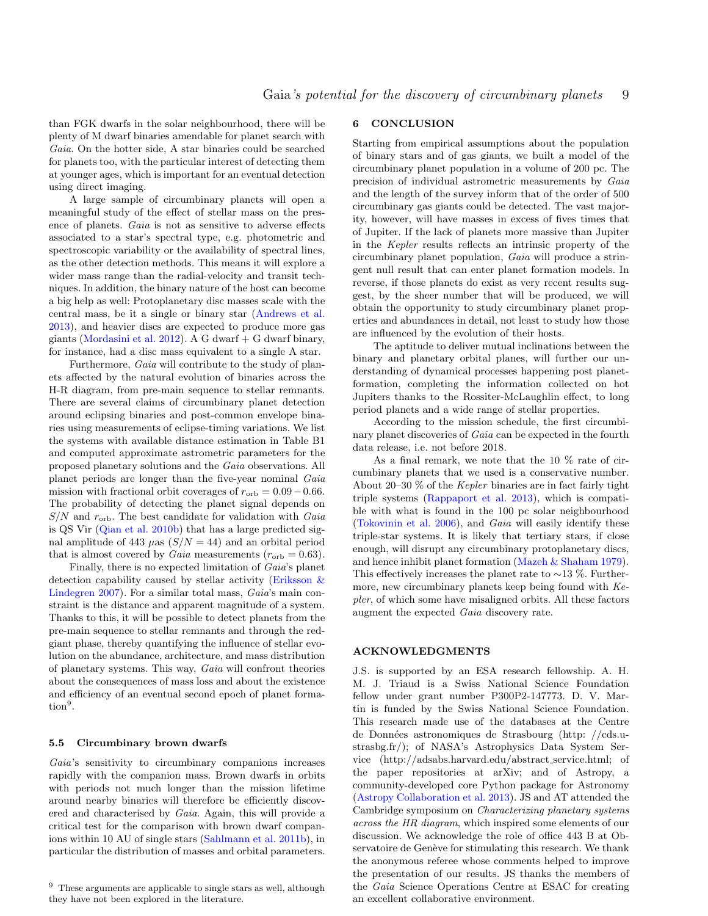than FGK dwarfs in the solar neighbourhood, there will be plenty of M dwarf binaries amendable for planet search with Gaia. On the hotter side, A star binaries could be searched for planets too, with the particular interest of detecting them at younger ages, which is important for an eventual detection using direct imaging.

A large sample of circumbinary planets will open a meaningful study of the effect of stellar mass on the presence of planets. Gaia is not as sensitive to adverse effects associated to a star's spectral type, e.g. photometric and spectroscopic variability or the availability of spectral lines, as the other detection methods. This means it will explore a wider mass range than the radial-velocity and transit techniques. In addition, the binary nature of the host can become a big help as well: Protoplanetary disc masses scale with the central mass, be it a single or binary star [\(Andrews et al.](#page-9-63) [2013\)](#page-9-63), and heavier discs are expected to produce more gas giants [\(Mordasini et al.](#page-9-64) [2012\)](#page-9-64). A G dwarf  $+$  G dwarf binary, for instance, had a disc mass equivalent to a single A star.

Furthermore, Gaia will contribute to the study of planets affected by the natural evolution of binaries across the H-R diagram, from pre-main sequence to stellar remnants. There are several claims of circumbinary planet detection around eclipsing binaries and post-common envelope binaries using measurements of eclipse-timing variations. We list the systems with available distance estimation in Table [B1](#page-11-0) and computed approximate astrometric parameters for the proposed planetary solutions and the Gaia observations. All planet periods are longer than the five-year nominal Gaia mission with fractional orbit coverages of  $r_{\rm orb} = 0.09 - 0.66$ . The probability of detecting the planet signal depends on  $S/N$  and  $r_{\rm orb}$ . The best candidate for validation with Gaia is QS Vir [\(Qian et al.](#page-9-65) [2010b\)](#page-9-65) that has a large predicted signal amplitude of 443  $\mu$ as ( $S/N = 44$ ) and an orbital period that is almost covered by *Gaia* measurements ( $r_{\rm orb} = 0.63$ ).

Finally, there is no expected limitation of Gaia's planet detection capability caused by stellar activity [\(Eriksson &](#page-9-66) [Lindegren](#page-9-66) [2007\)](#page-9-66). For a similar total mass, Gaia's main constraint is the distance and apparent magnitude of a system. Thanks to this, it will be possible to detect planets from the pre-main sequence to stellar remnants and through the redgiant phase, thereby quantifying the influence of stellar evolution on the abundance, architecture, and mass distribution of planetary systems. This way, Gaia will confront theories about the consequences of mass loss and about the existence and efficiency of an eventual second epoch of planet forma- $\text{tion}^9$  $\text{tion}^9$ .

#### 5.5 Circumbinary brown dwarfs

Gaia's sensitivity to circumbinary companions increases rapidly with the companion mass. Brown dwarfs in orbits with periods not much longer than the mission lifetime around nearby binaries will therefore be efficiently discovered and characterised by Gaia. Again, this will provide a critical test for the comparison with brown dwarf companions within 10 AU of single stars [\(Sahlmann et al.](#page-9-17) [2011b\)](#page-9-17), in particular the distribution of masses and orbital parameters.

## 6 CONCLUSION

Starting from empirical assumptions about the population of binary stars and of gas giants, we built a model of the circumbinary planet population in a volume of 200 pc. The precision of individual astrometric measurements by Gaia and the length of the survey inform that of the order of 500 circumbinary gas giants could be detected. The vast majority, however, will have masses in excess of fives times that of Jupiter. If the lack of planets more massive than Jupiter in the Kepler results reflects an intrinsic property of the circumbinary planet population, Gaia will produce a stringent null result that can enter planet formation models. In reverse, if those planets do exist as very recent results suggest, by the sheer number that will be produced, we will obtain the opportunity to study circumbinary planet properties and abundances in detail, not least to study how those are influenced by the evolution of their hosts.

The aptitude to deliver mutual inclinations between the binary and planetary orbital planes, will further our understanding of dynamical processes happening post planetformation, completing the information collected on hot Jupiters thanks to the Rossiter-McLaughlin effect, to long period planets and a wide range of stellar properties.

According to the mission schedule, the first circumbinary planet discoveries of *Gaia* can be expected in the fourth data release, i.e. not before 2018.

As a final remark, we note that the 10 % rate of circumbinary planets that we used is a conservative number. About 20–30  $\%$  of the *Kepler* binaries are in fact fairly tight triple systems [\(Rappaport et al.](#page-9-67) [2013\)](#page-9-67), which is compatible with what is found in the 100 pc solar neighbourhood [\(Tokovinin et al.](#page-10-9) [2006\)](#page-10-9), and Gaia will easily identify these triple-star systems. It is likely that tertiary stars, if close enough, will disrupt any circumbinary protoplanetary discs, and hence inhibit planet formation [\(Mazeh & Shaham](#page-9-11) [1979\)](#page-9-11). This effectively increases the planet rate to  $\sim$ 13 %. Furthermore, new circumbinary planets keep being found with Kepler, of which some have misaligned orbits. All these factors augment the expected Gaia discovery rate.

## ACKNOWLEDGMENTS

J.S. is supported by an ESA research fellowship. A. H. M. J. Triaud is a Swiss National Science Foundation fellow under grant number P300P2-147773. D. V. Martin is funded by the Swiss National Science Foundation. This research made use of the databases at the Centre de Données astronomiques de Strasbourg (http: //cds.ustrasbg.fr/); of NASA's Astrophysics Data System Service (http://adsabs.harvard.edu/abstract service.html; of the paper repositories at arXiv; and of Astropy, a community-developed core Python package for Astronomy [\(Astropy Collaboration et al.](#page-9-68) [2013\)](#page-9-68). JS and AT attended the Cambridge symposium on Characterizing planetary systems across the HR diagram, which inspired some elements of our discussion. We acknowledge the role of office 443 B at Observatoire de Genève for stimulating this research. We thank the anonymous referee whose comments helped to improve the presentation of our results. JS thanks the members of the Gaia Science Operations Centre at ESAC for creating an excellent collaborative environment.

<span id="page-8-0"></span><sup>9</sup> These arguments are applicable to single stars as well, although they have not been explored in the literature.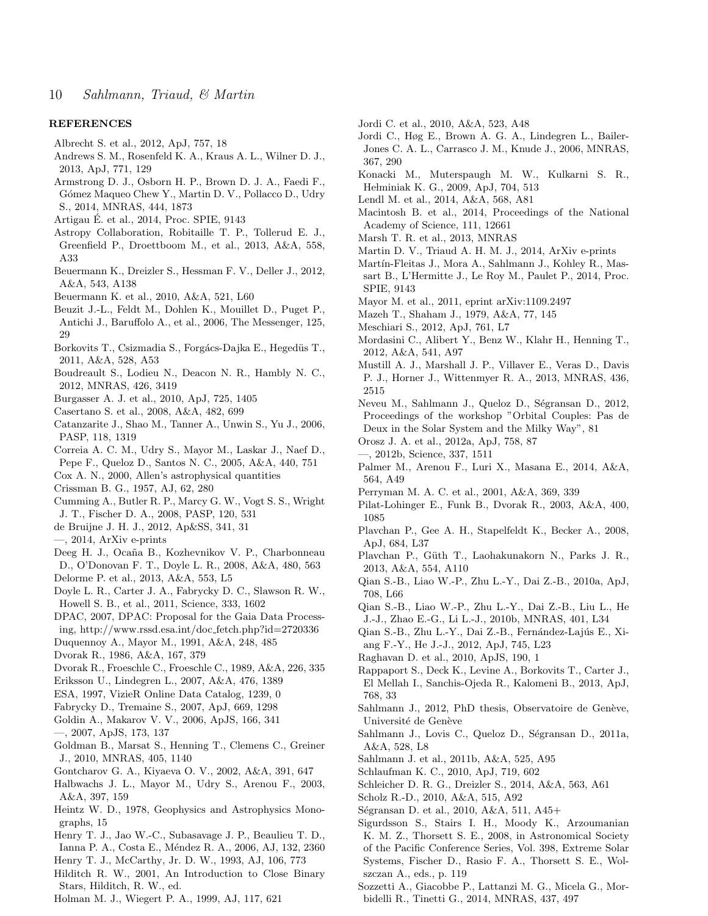## **REFERENCES**

- <span id="page-9-30"></span>Albrecht S. et al., 2012, ApJ, 757, 18
- <span id="page-9-63"></span>Andrews S. M., Rosenfeld K. A., Kraus A. L., Wilner D. J., 2013, ApJ, 771, 129
- <span id="page-9-6"></span>Armstrong D. J., Osborn H. P., Brown D. J. A., Faedi F., Gómez Maqueo Chew Y., Martin D. V., Pollacco D., Udry
- S., 2014, MNRAS, 444, 1873
- <span id="page-9-61"></span>Artigau E. et al., 2014, Proc. SPIE, 9143 ´
- <span id="page-9-68"></span>Astropy Collaboration, Robitaille T. P., Tollerud E. J., Greenfield P., Droettboom M., et al., 2013, A&A, 558, A33
- <span id="page-9-31"></span>Beuermann K., Dreizler S., Hessman F. V., Deller J., 2012, A&A, 543, A138
- <span id="page-9-1"></span>Beuermann K. et al., 2010, A&A, 521, L60
- <span id="page-9-60"></span>Beuzit J.-L., Feldt M., Dohlen K., Mouillet D., Puget P., Antichi J., Baruffolo A., et al., 2006, The Messenger, 125, 29
- <span id="page-9-26"></span>Borkovits T., Csizmadia S., Forgács-Dajka E., Hegedüs T., 2011, A&A, 528, A53
- <span id="page-9-49"></span>Boudreault S., Lodieu N., Deacon N. R., Hambly N. C., 2012, MNRAS, 426, 3419
- <span id="page-9-4"></span>Burgasser A. J. et al., 2010, ApJ, 725, 1405
- <span id="page-9-14"></span>Casertano S. et al., 2008, A&A, 482, 699
- <span id="page-9-43"></span>Catanzarite J., Shao M., Tanner A., Unwin S., Yu J., 2006, PASP, 118, 1319
- <span id="page-9-0"></span>Correia A. C. M., Udry S., Mayor M., Laskar J., Naef D., Pepe F., Queloz D., Santos N. C., 2005, A&A, 440, 751
- <span id="page-9-53"></span>Cox A. N., 2000, Allen's astrophysical quantities
- <span id="page-9-47"></span>Crissman B. G., 1957, AJ, 62, 280
- <span id="page-9-8"></span>Cumming A., Butler R. P., Marcy G. W., Vogt S. S., Wright J. T., Fischer D. A., 2008, PASP, 120, 531
- <span id="page-9-34"></span>de Bruijne J. H. J., 2012, Ap&SS, 341, 31
- <span id="page-9-38"></span>—, 2014, ArXiv e-prints
- <span id="page-9-71"></span>Deeg H. J., Ocaña B., Kozhevnikov V. P., Charbonneau
- <span id="page-9-20"></span>D., O'Donovan F. T., Doyle L. R., 2008, A&A, 480, 563 Delorme P. et al., 2013, A&A, 553, L5
- <span id="page-9-3"></span>Doyle L. R., Carter J. A., Fabrycky D. C., Slawson R. W.,
- Howell S. B., et al., 2011, Science, 333, 1602
- <span id="page-9-37"></span>DPAC, 2007, DPAC: Proposal for the Gaia Data Processing, http://www.rssd.esa.int/doc fetch.php?id=2720336
- <span id="page-9-51"></span>Duquennoy A., Mayor M., 1991, A&A, 248, 485
- <span id="page-9-21"></span>Dvorak R., 1986, A&A, 167, 379
- <span id="page-9-22"></span>Dvorak R., Froeschle C., Froeschle C., 1989, A&A, 226, 335
- <span id="page-9-66"></span>Eriksson U., Lindegren L., 2007, A&A, 476, 1389
- <span id="page-9-46"></span>ESA, 1997, VizieR Online Data Catalog, 1239, 0
- <span id="page-9-12"></span>Fabrycky D., Tremaine S., 2007, ApJ, 669, 1298
- <span id="page-9-69"></span>Goldin A., Makarov V. V., 2006, ApJS, 166, 341
- <span id="page-9-70"></span>—, 2007, ApJS, 173, 137
- <span id="page-9-18"></span>Goldman B., Marsat S., Henning T., Clemens C., Greiner J., 2010, MNRAS, 405, 1140
- <span id="page-9-40"></span>Gontcharov G. A., Kiyaeva O. V., 2002, A&A, 391, 647
- <span id="page-9-44"></span>Halbwachs J. L., Mayor M., Udry S., Arenou F., 2003, A&A, 397, 159
- <span id="page-9-39"></span>Heintz W. D., 1978, Geophysics and Astrophysics Monographs, 15
- <span id="page-9-55"></span>Henry T. J., Jao W.-C., Subasavage J. P., Beaulieu T. D., Ianna P. A., Costa E., Méndez R. A., 2006, AJ, 132, 2360
- <span id="page-9-52"></span>Henry T. J., McCarthy, Jr. D. W., 1993, AJ, 106, 773
- <span id="page-9-41"></span>Hilditch R. W., 2001, An Introduction to Close Binary Stars, Hilditch, R. W., ed.
- <span id="page-9-23"></span>Holman M. J., Wiegert P. A., 1999, AJ, 117, 621
- <span id="page-9-54"></span>Jordi C. et al., 2010, A&A, 523, A48
- <span id="page-9-35"></span>Jordi C., Høg E., Brown A. G. A., Lindegren L., Bailer-Jones C. A. L., Carrasco J. M., Knude J., 2006, MNRAS, 367, 290
- <span id="page-9-25"></span>Konacki M., Muterspaugh M. W., Kulkarni S. R., Hełminiak K. G., 2009, ApJ, 704, 513
- <span id="page-9-50"></span>Lendl M. et al., 2014, A&A, 568, A81
- <span id="page-9-59"></span>Macintosh B. et al., 2014, Proceedings of the National Academy of Science, 111, 12661
- <span id="page-9-2"></span>Marsh T. R. et al., 2013, MNRAS
- <span id="page-9-7"></span>Martin D. V., Triaud A. H. M. J., 2014, ArXiv e-prints
- <span id="page-9-36"></span>Martín-Fleitas J., Mora A., Sahlmann J., Kohley R., Massart B., L'Hermitte J., Le Roy M., Paulet P., 2014, Proc. SPIE, 9143
- <span id="page-9-9"></span>Mayor M. et al., 2011, eprint arXiv:1109.2497
- <span id="page-9-11"></span>Mazeh T., Shaham J., 1979, A&A, 77, 145
- <span id="page-9-10"></span>Meschiari S., 2012, ApJ, 761, L7
- <span id="page-9-64"></span>Mordasini C., Alibert Y., Benz W., Klahr H., Henning T., 2012, A&A, 541, A97
- <span id="page-9-33"></span>Mustill A. J., Marshall J. P., Villaver E., Veras D., Davis P. J., Horner J., Wittenmyer R. A., 2013, MNRAS, 436, 2515
- <span id="page-9-16"></span>Neveu M., Sahlmann J., Queloz D., Ségransan D., 2012, Proceedings of the workshop "Orbital Couples: Pas de Deux in the Solar System and the Milky Way", 81
- <span id="page-9-45"></span>Orosz J. A. et al., 2012a, ApJ, 758, 87
- <span id="page-9-58"></span>—, 2012b, Science, 337, 1511
- <span id="page-9-48"></span>Palmer M., Arenou F., Luri X., Masana E., 2014, A&A, 564, A49
- <span id="page-9-13"></span>Perryman M. A. C. et al., 2001, A&A, 369, 339
- <span id="page-9-24"></span>Pilat-Lohinger E., Funk B., Dvorak R., 2003, A&A, 400, 1085
- <span id="page-9-27"></span>Plavchan P., Gee A. H., Stapelfeldt K., Becker A., 2008, ApJ, 684, L37
- <span id="page-9-28"></span>Plavchan P., Güth T., Laohakunakorn N., Parks J. R., 2013, A&A, 554, A110
- <span id="page-9-72"></span>Qian S.-B., Liao W.-P., Zhu L.-Y., Dai Z.-B., 2010a, ApJ, 708, L66
- <span id="page-9-65"></span>Qian S.-B., Liao W.-P., Zhu L.-Y., Dai Z.-B., Liu L., He J.-J., Zhao E.-G., Li L.-J., 2010b, MNRAS, 401, L34
- <span id="page-9-73"></span>Qian S.-B., Zhu L.-Y., Dai Z.-B., Fernández-Lajús E., Xiang F.-Y., He J.-J., 2012, ApJ, 745, L23
- <span id="page-9-62"></span>Raghavan D. et al., 2010, ApJS, 190, 1
- <span id="page-9-67"></span>Rappaport S., Deck K., Levine A., Borkovits T., Carter J., El Mellah I., Sanchis-Ojeda R., Kalomeni B., 2013, ApJ, 768, 33
- <span id="page-9-42"></span>Sahlmann J., 2012, PhD thesis, Observatoire de Genève, Université de Genève
- <span id="page-9-57"></span>Sahlmann J., Lovis C., Queloz D., Ségransan D., 2011a, A&A, 528, L8
- <span id="page-9-17"></span>Sahlmann J. et al., 2011b, A&A, 525, A95
- <span id="page-9-29"></span>Schlaufman K. C., 2010, ApJ, 719, 602
- <span id="page-9-32"></span>Schleicher D. R. G., Dreizler S., 2014, A&A, 563, A61
- <span id="page-9-19"></span>Scholz R.-D., 2010, A&A, 515, A92
- <span id="page-9-56"></span>Ségransan D. et al., 2010, A&A, 511, A45+
- <span id="page-9-5"></span>Sigurdsson S., Stairs I. H., Moody K., Arzoumanian K. M. Z., Thorsett S. E., 2008, in Astronomical Society of the Pacific Conference Series, Vol. 398, Extreme Solar Systems, Fischer D., Rasio F. A., Thorsett S. E., Wolszczan A., eds., p. 119
- <span id="page-9-15"></span>Sozzetti A., Giacobbe P., Lattanzi M. G., Micela G., Morbidelli R., Tinetti G., 2014, MNRAS, 437, 497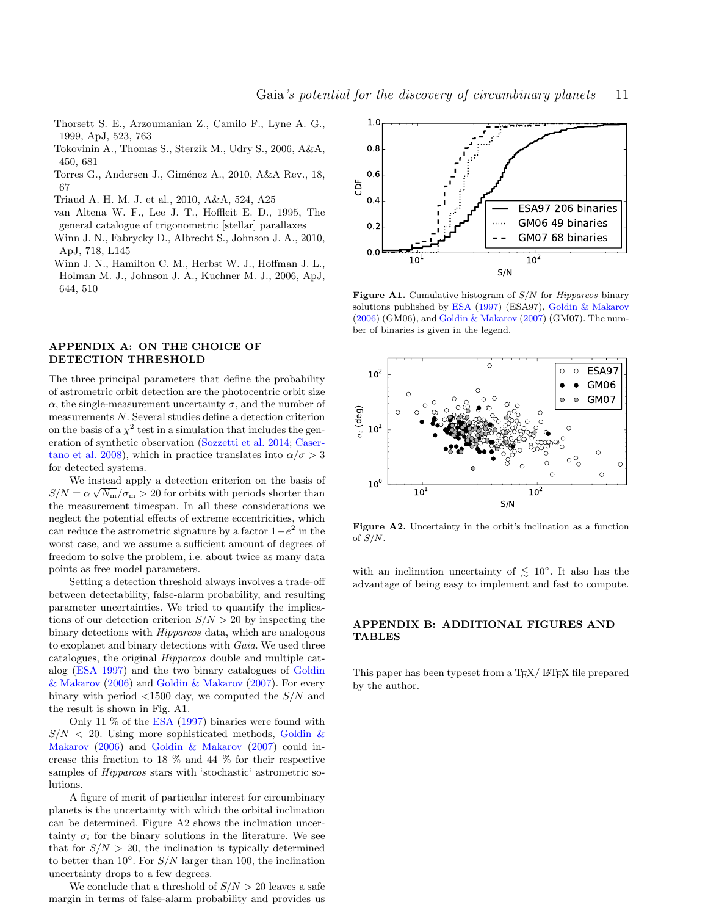- <span id="page-10-0"></span>Thorsett S. E., Arzoumanian Z., Camilo F., Lyne A. G., 1999, ApJ, 523, 763
- <span id="page-10-9"></span>Tokovinin A., Thomas S., Sterzik M., Udry S., 2006, A&A, 450, 681
- <span id="page-10-6"></span>Torres G., Andersen J., Giménez A., 2010, A&A Rev., 18, 67
- <span id="page-10-3"></span>Triaud A. H. M. J. et al., 2010, A&A, 524, A25
- <span id="page-10-5"></span>van Altena W. F., Lee J. T., Hoffleit E. D., 1995, The general catalogue of trigonometric [stellar] parallaxes
- <span id="page-10-2"></span>Winn J. N., Fabrycky D., Albrecht S., Johnson J. A., 2010, ApJ, 718, L145
- <span id="page-10-1"></span>Winn J. N., Hamilton C. M., Herbst W. J., Hoffman J. L., Holman M. J., Johnson J. A., Kuchner M. J., 2006, ApJ, 644, 510

## <span id="page-10-4"></span>APPENDIX A: ON THE CHOICE OF DETECTION THRESHOLD

The three principal parameters that define the probability of astrometric orbit detection are the photocentric orbit size  $\alpha$ , the single-measurement uncertainty  $\sigma$ , and the number of measurements N. Several studies define a detection criterion on the basis of a  $\chi^2$  test in a simulation that includes the generation of synthetic observation [\(Sozzetti et al.](#page-9-15) [2014;](#page-9-15) [Caser](#page-9-14)[tano et al.](#page-9-14) [2008\)](#page-9-14), which in practice translates into  $\alpha/\sigma > 3$ for detected systems.

We instead apply a detection criterion on the basis of √  $S/N = \alpha \sqrt{N_{\rm m}}/\sigma_{\rm m} > 20$  for orbits with periods shorter than the measurement timespan. In all these considerations we neglect the potential effects of extreme eccentricities, which can reduce the astrometric signature by a factor  $1-e^2$  in the worst case, and we assume a sufficient amount of degrees of freedom to solve the problem, i.e. about twice as many data points as free model parameters.

Setting a detection threshold always involves a trade-off between detectability, false-alarm probability, and resulting parameter uncertainties. We tried to quantify the implications of our detection criterion  $S/N > 20$  by inspecting the binary detections with Hipparcos data, which are analogous to exoplanet and binary detections with Gaia. We used three catalogues, the original Hipparcos double and multiple catalog [\(ESA](#page-9-46) [1997\)](#page-9-46) and the two binary catalogues of [Goldin](#page-9-69) [& Makarov](#page-9-69) [\(2006\)](#page-9-69) and [Goldin & Makarov](#page-9-70) [\(2007\)](#page-9-70). For every binary with period  $\langle 1500 \text{ day} \rangle$ , we computed the  $S/N$  and the result is shown in Fig. [A1.](#page-10-7)

Only 11 % of the [ESA](#page-9-46) [\(1997\)](#page-9-46) binaries were found with  $S/N$  < 20. Using more sophisticated methods, [Goldin &](#page-9-69) [Makarov](#page-9-69) [\(2006\)](#page-9-69) and [Goldin & Makarov](#page-9-70) [\(2007\)](#page-9-70) could increase this fraction to 18 % and 44 % for their respective samples of Hipparcos stars with 'stochastic' astrometric solutions.

A figure of merit of particular interest for circumbinary planets is the uncertainty with which the orbital inclination can be determined. Figure [A2](#page-10-8) shows the inclination uncertainty  $\sigma_i$  for the binary solutions in the literature. We see that for  $S/N > 20$ , the inclination is typically determined to better than  $10°$ . For  $S/N$  larger than 100, the inclination uncertainty drops to a few degrees.

We conclude that a threshold of  $S/N > 20$  leaves a safe margin in terms of false-alarm probability and provides us



<span id="page-10-7"></span>**Figure A1.** Cumulative histogram of  $S/N$  for *Hipparcos* binary solutions published by [ESA](#page-9-46) [\(1997\)](#page-9-46) (ESA97), [Goldin & Makarov](#page-9-69) [\(2006\)](#page-9-69) (GM06), and [Goldin & Makarov](#page-9-70) [\(2007\)](#page-9-70) (GM07). The number of binaries is given in the legend.



<span id="page-10-8"></span>Figure A2. Uncertainty in the orbit's inclination as a function of  $S/N$ .

with an inclination uncertainty of  $\lesssim 10^{\circ}$ . It also has the advantage of being easy to implement and fast to compute.

# APPENDIX B: ADDITIONAL FIGURES AND TABLES

This paper has been typeset from a TEX/ LATEX file prepared by the author.